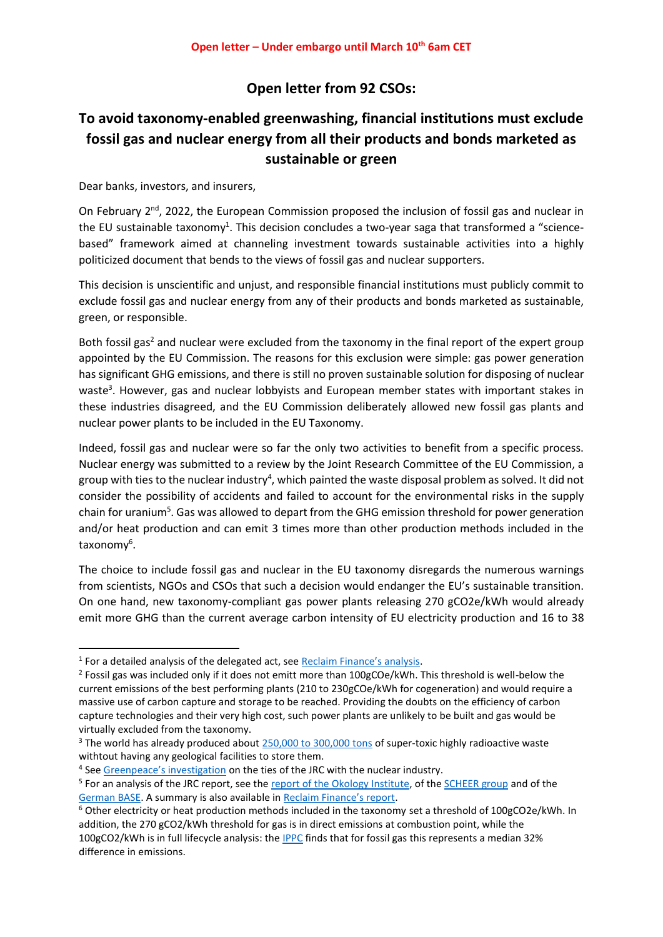## **Open letter from 92 CSOs:**

# **To avoid taxonomy-enabled greenwashing, financial institutions must exclude fossil gas and nuclear energy from all their products and bonds marketed as sustainable or green**

Dear banks, investors, and insurers,

On February 2<sup>nd</sup>, 2022, the European Commission proposed the inclusion of fossil gas and nuclear in the EU sustainable taxonomy<sup>1</sup>. This decision concludes a two-year saga that transformed a "sciencebased" framework aimed at channeling investment towards sustainable activities into a highly politicized document that bends to the views of fossil gas and nuclear supporters.

This decision is unscientific and unjust, and responsible financial institutions must publicly commit to exclude fossil gas and nuclear energy from any of their products and bonds marketed as sustainable, green, or responsible.

Both fossil gas<sup>2</sup> and nuclear were excluded from the taxonomy in the final report of the expert group appointed by the EU Commission. The reasons for this exclusion were simple: gas power generation has significant GHG emissions, and there is still no proven sustainable solution for disposing of nuclear waste<sup>3</sup>. However, gas and nuclear lobbyists and European member states with important stakes in these industries disagreed, and the EU Commission deliberately allowed new fossil gas plants and nuclear power plants to be included in the EU Taxonomy.

Indeed, fossil gas and nuclear were so far the only two activities to benefit from a specific process. Nuclear energy was submitted to a review by the Joint Research Committee of the EU Commission, a group with ties to the nuclear industry<sup>4</sup>, which painted the waste disposal problem as solved. It did not consider the possibility of accidents and failed to account for the environmental risks in the supply chain for uranium<sup>5</sup>. Gas was allowed to depart from the GHG emission threshold for power generation and/or heat production and can emit 3 times more than other production methods included in the taxonomy<sup>6</sup>.

The choice to include fossil gas and nuclear in the EU taxonomy disregards the numerous warnings from scientists, NGOs and CSOs that such a decision would endanger the EU's sustainable transition. On one hand, new taxonomy-compliant gas power plants releasing 270 gCO2e/kWh would already emit more GHG than the current average carbon intensity of EU electricity production and 16 to 38

<sup>&</sup>lt;sup>1</sup> For a detailed analysis of the delegated act, see **[Reclaim Finance's analysis](https://reclaimfinance.org/site/wp-content/uploads/2022/02/Summary-and-analysis-DA-taxonomy-February-2nd-2022-Reclaim-Finance.pdf)**.

<sup>&</sup>lt;sup>2</sup> Fossil gas was included only if it does not emitt more than 100gCOe/kWh. This threshold is well-below the current emissions of the best performing plants (210 to 230gCOe/kWh for cogeneration) and would require a massive use of carbon capture and storage to be reached. Providing the doubts on the efficiency of carbon capture technologies and their very high cost, such power plants are unlikely to be built and gas would be virtually excluded from the taxonomy.

<sup>&</sup>lt;sup>3</sup> The world has already produced abou[t 250,000 to 300,000 tons](https://www.nirs.org/the-global-nuclear-waste-crisis/) of super-toxic highly radioactive waste withtout having any geological facilities to store them.

<sup>&</sup>lt;sup>4</sup> See [Greenpeace's investigation](https://www.greenpeace.org/eu-unit/issues/climate-energy/45537/nuclear-industry-ties-call-eu-research-bodys-impartiality-into-question/) on the ties of the JRC with the nuclear industry.

<sup>&</sup>lt;sup>5</sup> For an analysis of the JRC report, see the **report of the Okology Institute**, of the [SCHEER group](https://ec.europa.eu/info/sites/default/files/business_economy_euro/banking_and_finance/documents/210629-nuclear-energy-jrc-review-scheer-report_en.pdf) and of the [German BASE.](https://www.base.bund.de/SharedDocs/Downloads/BASE/EN/reports/2021-06-30_base-expert-response-jrc-report.pdf.html) A summary is also available in [Reclaim Finance's report](https://reclaimfinance.org/site/en/2021/07/22/abandoning-science-how-the-gas-and-nuclear-lobbies-are-winning-the-eu-taxonomy-fight/).

<sup>6</sup> Other electricity or heat production methods included in the taxonomy set a threshold of 100gCO2e/kWh. In addition, the 270 gCO2/kWh threshold for gas is in direct emissions at combustion point, while the 100gCO2/kWh is in full lifecycle analysis: th[e IPPC](https://www.ipcc.ch/site/assets/uploads/2018/02/ipcc_wg3_ar5_annex-iii.pdf) finds that for fossil gas this represents a median 32% difference in emissions.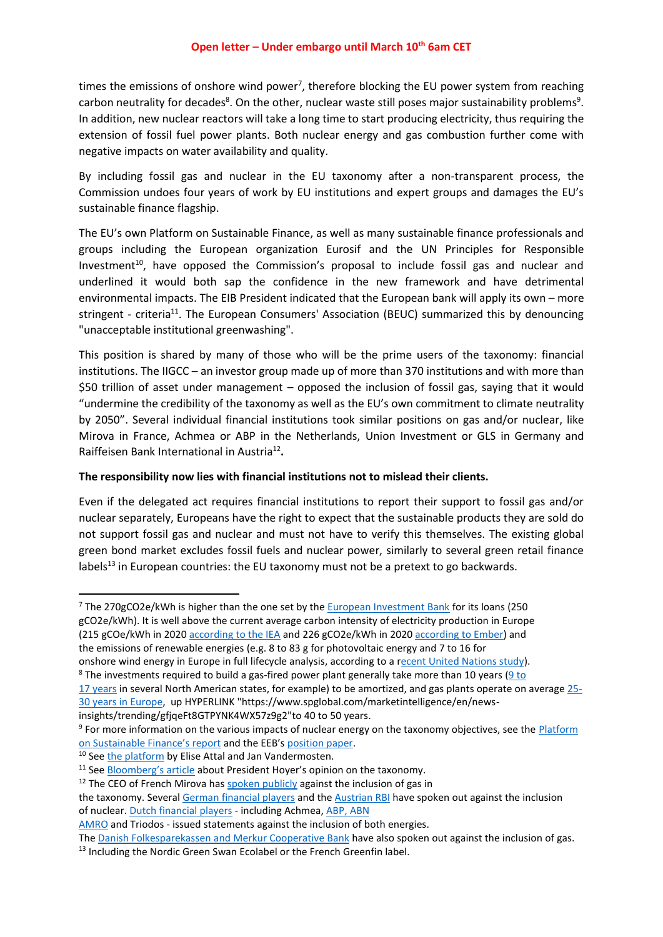times the emissions of onshore wind power<sup>7</sup>, therefore blocking the EU power system from reaching carbon neutrality for decades<sup>8</sup>. On the other, nuclear waste still poses major sustainability problems<sup>9</sup>. In addition, new nuclear reactors will take a long time to start producing electricity, thus requiring the extension of fossil fuel power plants. Both nuclear energy and gas combustion further come with negative impacts on water availability and quality.

By including fossil gas and nuclear in the EU taxonomy after a non-transparent process, the Commission undoes four years of work by EU institutions and expert groups and damages the EU's sustainable finance flagship.

The EU's own Platform on Sustainable Finance, as well as many sustainable finance professionals and groups including the European organization Eurosif and the UN Principles for Responsible Investment<sup>10</sup>, have opposed the Commission's proposal to include fossil gas and nuclear and underlined it would both sap the confidence in the new framework and have detrimental environmental impacts. The EIB President indicated that the European bank will apply its own – more stringent - criteria<sup>11</sup>. The European Consumers' Association (BEUC) summarized this by denouncing "unacceptable institutional greenwashing".

This position is shared by many of those who will be the prime users of the taxonomy: financial institutions. The IIGCC – an investor group made up of more than 370 institutions and with more than \$50 trillion of asset under management – opposed the inclusion of fossil gas, saying that it would "undermine the credibility of the taxonomy as well as the EU's own commitment to climate neutrality by 2050". Several individual financial institutions took similar positions on gas and/or nuclear, like Mirova in France, Achmea or ABP in the Netherlands, Union Investment or GLS in Germany and Raiffeisen Bank International in Austria<sup>12</sup>.

### **The responsibility now lies with financial institutions not to mislead their clients.**

Even if the delegated act requires financial institutions to report their support to fossil gas and/or nuclear separately, Europeans have the right to expect that the sustainable products they are sold do not support fossil gas and nuclear and must not have to verify this themselves. The existing global green bond market excludes fossil fuels and nuclear power, similarly to several green retail finance labels<sup>13</sup> in European countries: the EU taxonomy must not be a pretext to go backwards.

<sup>7</sup> The 270gCO2e/kWh is higher than the one set by the **[European Investment Bank](https://www.eib.org/attachments/thematic/eib_group_climate_bank_roadmap_en.pdf)** for its loans (250 gCO2e/kWh). It is well above the current average carbon intensity of electricity production in Europe (215 gCOe/kWh in 2020 according [to the IEA](https://www.iea.org/reports/european-union-2020) and 226 gCO2e/kWh in 2020 [according](https://ember-climate.org/project/eu-power-sector-2020/) to Ember) and the emissions of renewable energies (e.g. 8 to 83 g for photovoltaic energy and 7 to 16 for

onshore wind energy in Europe in full lifecycle analysis, according to a [recent United Nations study\)](https://unece.org/sites/default/files/2021-10/LCA-2.pdf).

insights/trending/gfjqeFt8GTPYNK4WX57z9g2"to 40 to 50 years.

<sup>10</sup> See [the platform](https://www.euractiv.com/section/energy-environment/opinion/how-to-save-the-scientific-integrity-of-the-eus-green-finance-taxonomy/) by Elise Attal and Jan Vandermosten.

<sup>&</sup>lt;sup>8</sup> The investments required to build a gas-fired power plant generally take more than 10 years ( $9 \text{ to } 10$ 

<sup>17</sup> [years](https://scholarworks.rit.edu/cgi/viewcontent.cgi?article=11105&context=theses) in several North American states, for example) to be amortized, and gas plants operate on average [25-](https://www.researchgate.net/figure/The-age-of-coal-and-gas-fired-power-plants-in-the-European-Union-2012_fig4_279953950) [30 years in Europe,](https://www.researchgate.net/figure/The-age-of-coal-and-gas-fired-power-plants-in-the-European-Union-2012_fig4_279953950) up HYPERLINK "https://www.spglobal.com/marketintelligence/en/news-

<sup>&</sup>lt;sup>9</sup> For more information on the various impacts of nuclear energy on the taxonomy objectives, see the **Platform** [on Sustainable Finance's report](https://ec.europa.eu/info/sites/default/files/business_economy_euro/banking_and_finance/documents/220121-sustainable-finance-platform-response-taxonomy-complementary-delegated-act_en.pdf) and the EEB's [position paper.](https://eeb.org/wp-content/uploads/2022/01/EEB-Paper-Taxonomy-delegated-acts-nuclear-and-gas.pdf)

<sup>&</sup>lt;sup>11</sup> See [Bloomberg's article](https://www.bnnbloomberg.ca/eu-bank-may-refrain-from-bestowing-green-label-on-gas-nuclear-projects-1.1714227) about President Hoyer's opinion on the taxonomy.

 $12$  The CEO of French Mirova has spoken [publicly](https://lessentiel.novethic.fr/blog/people-9/post/si-lon-y-inclut-le-gaz-cest-la-mort-de-la-taxonomie-philippe-zaouati-de-mirova-744) against the inclusion of gas in

the taxonomy. Several German [financial](https://www.forum-ng.org/fileadmin/News/Open_letter_Offener_Brief_Atomkraft_als_Ausschlusskriterium.pdf) players and the [Austrian](https://www.rbinternational.com/de/nachhaltigkeit/aktuelles/rbi-gegen-aufnahme-atomkraft-green-eu-taxonomy.html) RBI have spoken out against the inclusion of nuclear. Dutch [financial](https://fd.nl/opinie/1422443/nederlandse-banken-en-verzekeraars-willen-geen-aardgas-of-kernenergie-in-taxonomie-uhl1caJhyrMj) players - including Achmea, [ABP, ABN](https://www.pensioenfederatie.nl/actueel/nieuws/2022/01-januari/pensioenfederatie-roept-europese-commissie-rekening-te-houden-met-advies-over-taxonomie-van-het-platform-on-sustainable-finance) 

[AMRO](https://www.pensioenfederatie.nl/actueel/nieuws/2022/01-januari/pensioenfederatie-roept-europese-commissie-rekening-te-houden-met-advies-over-taxonomie-van-het-platform-on-sustainable-finance) and Triodos - issued statements against the inclusion of both energies.

The Danish [Folkesparekassen](https://wwfeu.awsassets.panda.org/downloads/225__scientists__financials__cso_open_letter___gas_attack_in_eu_taxonomy___march21_cl_1_1_1.pdf) and Merkur Cooperative Bank have also spoken out against the inclusion of gas.

<sup>&</sup>lt;sup>13</sup> Including the Nordic Green Swan Ecolabel or the French Greenfin label.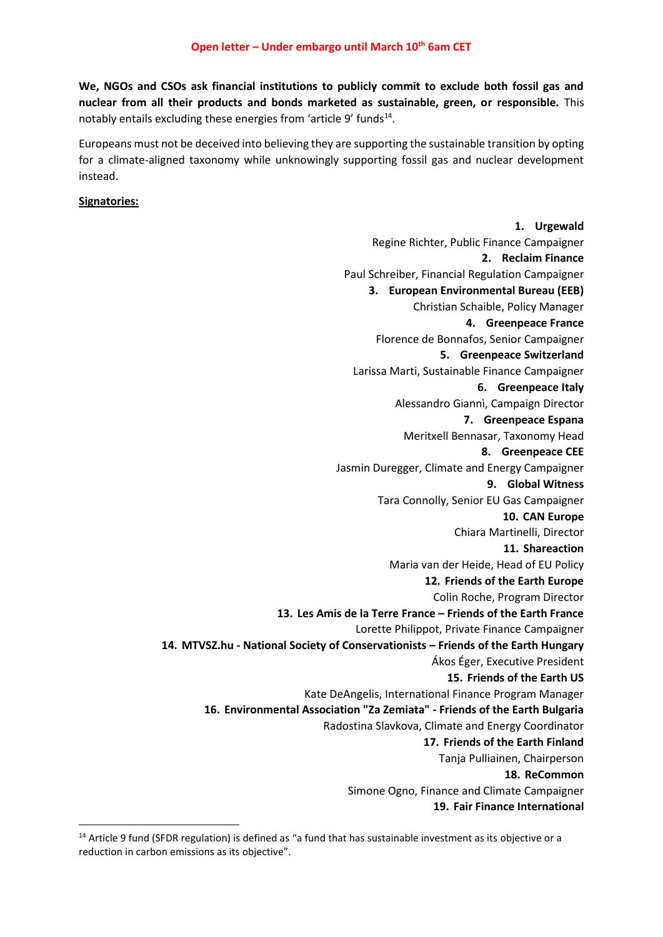**We, NGOs and CSOs ask financial institutions to publicly commit to exclude both fossil gas and nuclear from all their products and bonds marketed as sustainable, green, or responsible.** This notably entails excluding these energies from 'article 9' funds<sup>14</sup>.

Europeans must not be deceived into believing they are supporting the sustainable transition by opting for a climate-aligned taxonomy while unknowingly supporting fossil gas and nuclear development instead.

### **Signatories:**

**1. Urgewald** Regine Richter, Public Finance Campaigner **2. Reclaim Finance** Paul Schreiber, Financial Regulation Campaigner **3. European Environmental Bureau (EEB)** Christian Schaible, Policy Manager **4. Greenpeace France** Florence de Bonnafos, Senior Campaigner **5. Greenpeace Switzerland** Larissa Marti, Sustainable Finance Campaigner **6. Greenpeace Italy** Alessandro Giannì, Campaign Director **7. Greenpeace Espana** Meritxell Bennasar, Taxonomy Head **8. Greenpeace CEE** Jasmin Duregger, Climate and Energy Campaigner **9. Global Witness** Tara Connolly, Senior EU Gas Campaigner **10. CAN Europe** Chiara Martinelli, Director **11. Shareaction** Maria van der Heide, Head of EU Policy **12. Friends of the Earth Europe** Colin Roche, Program Director **13. Les Amis de la Terre France – Friends of the Earth France** Lorette Philippot, Private Finance Campaigner **14. MTVSZ.hu - National Society of Conservationists – Friends of the Earth Hungary** Ákos Éger, Executive President **15. Friends of the Earth US** Kate DeAngelis, International Finance Program Manager **16. Environmental Association "Za Zemiata" - Friends of the Earth Bulgaria** Radostina Slavkova, Climate and Energy Coordinator **17. Friends of the Earth Finland** Tanja Pulliainen, Chairperson **18. ReCommon** Simone Ogno, Finance and Climate Campaigner **19. Fair Finance International**

 $14$  Article 9 fund (SFDR regulation) is defined as "a fund that has sustainable investment as its objective or a reduction in carbon emissions as its objective".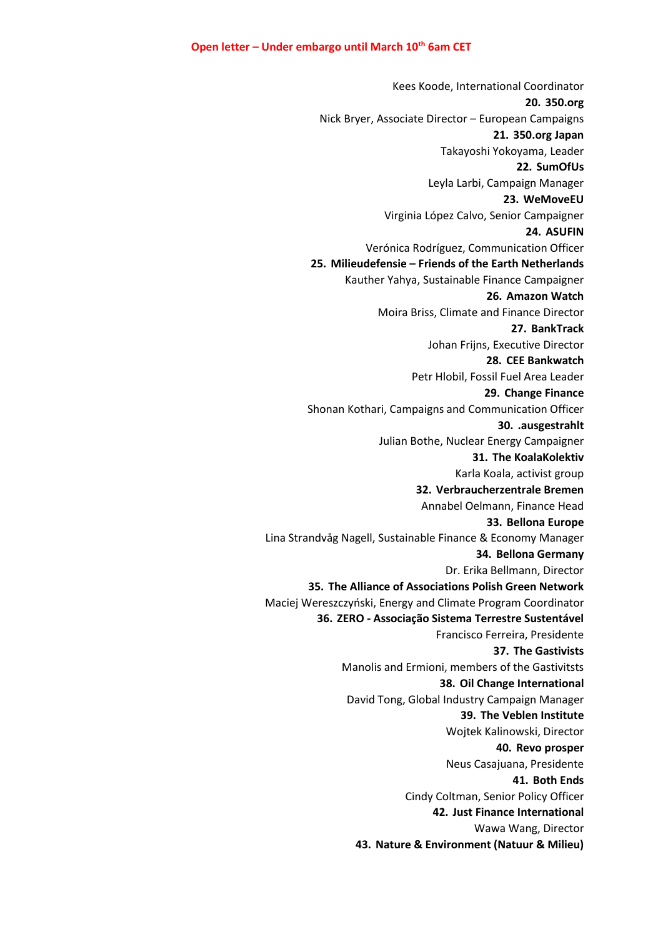Kees Koode, International Coordinator **20. 350.org** Nick Bryer, Associate Director – European Campaigns **21. 350.org Japan** Takayoshi Yokoyama, Leader **22. SumOfUs** Leyla Larbi, Campaign Manager **23. WeMoveEU** Virginia López Calvo, Senior Campaigner **24. ASUFIN** Verónica Rodríguez, Communication Officer **25. Milieudefensie – Friends of the Earth Netherlands** Kauther Yahya, Sustainable Finance Campaigner **26. Amazon Watch** Moira Briss, Climate and Finance Director **27. BankTrack** Johan Frijns, Executive Director **28. CEE Bankwatch** Petr Hlobil, Fossil Fuel Area Leader **29. Change Finance** Shonan Kothari, Campaigns and Communication Officer **30. .ausgestrahlt** Julian Bothe, Nuclear Energy Campaigner **31. The KoalaKolektiv** Karla Koala, activist group **32. Verbraucherzentrale Bremen** Annabel Oelmann, Finance Head **33. Bellona Europe** Lina Strandvåg Nagell, Sustainable Finance & Economy Manager **34. Bellona Germany** Dr. Erika Bellmann, Director **35. The Alliance of Associations Polish Green Network** Maciej Wereszczyński, Energy and Climate Program Coordinator **36. ZERO - Associação Sistema Terrestre Sustentável** Francisco Ferreira, Presidente **37. The Gastivists** Manolis and Ermioni, members of the Gastivitsts **38. Oil Change International** David Tong, Global Industry Campaign Manager **39. The Veblen Institute** Wojtek Kalinowski, Director **40. Revo prosper** Neus Casajuana, Presidente **41. Both Ends** Cindy Coltman, Senior Policy Officer **42. Just Finance International** Wawa Wang, Director **43. Nature & Environment (Natuur & Milieu)**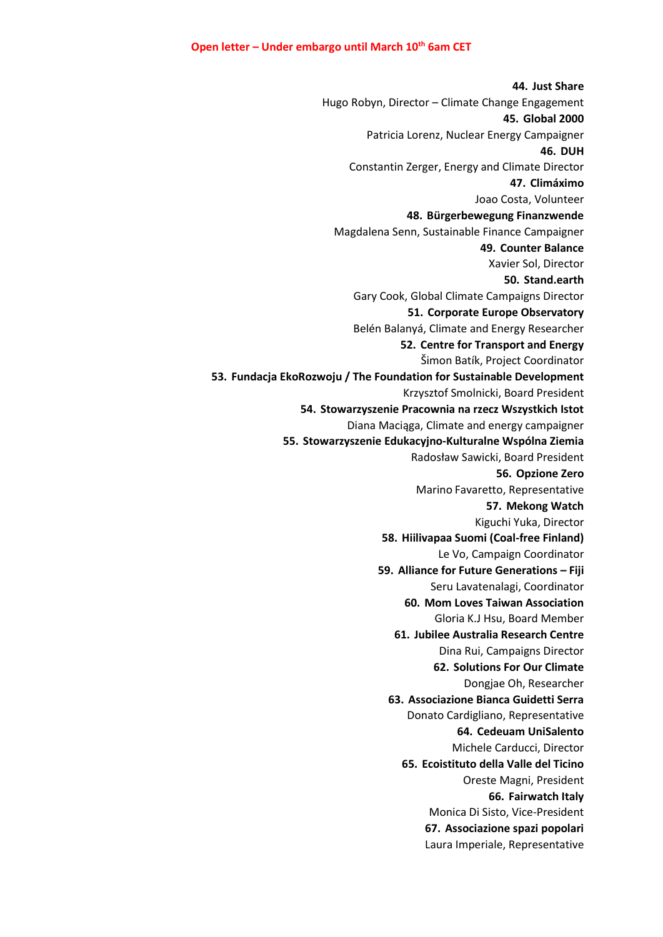**44. Just Share** Hugo Robyn, Director – Climate Change Engagement **45. Global 2000** Patricia Lorenz, Nuclear Energy Campaigner **46. DUH** Constantin Zerger, Energy and Climate Director **47. Climáximo** Joao Costa, Volunteer **48. Bürgerbewegung Finanzwende** Magdalena Senn, Sustainable Finance Campaigner **49. Counter Balance** Xavier Sol, Director **50. Stand.earth** Gary Cook, Global Climate Campaigns Director **51. Corporate Europe Observatory** Belén Balanyá, Climate and Energy Researcher **52. Centre for Transport and Energy** Šimon Batík, Project Coordinator **53. Fundacja EkoRozwoju / The Foundation for Sustainable Development** Krzysztof Smolnicki, Board President **54. Stowarzyszenie Pracownia na rzecz Wszystkich Istot** Diana Maciąga, Climate and energy campaigner **55. Stowarzyszenie Edukacyjno-Kulturalne Wspólna Ziemia** Radosław Sawicki, Board President **56. Opzione Zero** Marino Favaretto, Representative **57. Mekong Watch** Kiguchi Yuka, Director **58. Hiilivapaa Suomi (Coal-free Finland)** Le Vo, Campaign Coordinator **59. Alliance for Future Generations – Fiji** Seru Lavatenalagi, Coordinator **60. Mom Loves Taiwan Association** Gloria K.J Hsu, Board Member **61. Jubilee Australia Research Centre** Dina Rui, Campaigns Director **62. Solutions For Our Climate** Dongjae Oh, Researcher **63. Associazione Bianca Guidetti Serra** Donato Cardigliano, Representative **64. Cedeuam UniSalento** Michele Carducci, Director **65. Ecoistituto della Valle del Ticino** Oreste Magni, President **66. Fairwatch Italy** Monica Di Sisto, Vice-President **67. Associazione spazi popolari** Laura Imperiale, Representative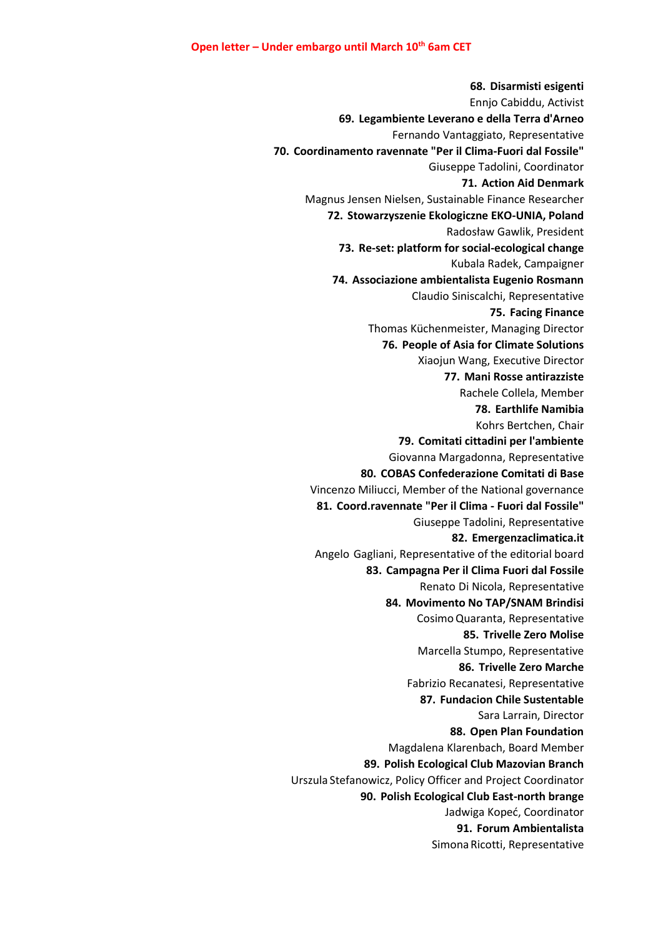**68. Disarmisti esigenti** Ennjo Cabiddu, Activist **69. Legambiente Leverano e della Terra d'Arneo** Fernando Vantaggiato, Representative **70. Coordinamento ravennate "Per il Clima-Fuori dal Fossile"** Giuseppe Tadolini, Coordinator **71. Action Aid Denmark** Magnus Jensen Nielsen, Sustainable Finance Researcher **72. Stowarzyszenie Ekologiczne EKO-UNIA, Poland** Radosław Gawlik, President **73. Re-set: platform for social-ecological change** Kubala Radek, Campaigner **74. Associazione ambientalista Eugenio Rosmann** Claudio Siniscalchi, Representative **75. Facing Finance** Thomas Küchenmeister, Managing Director **76. People of Asia for Climate Solutions** Xiaojun Wang, Executive Director **77. Mani Rosse antirazziste** Rachele Collela, Member **78. Earthlife Namibia** Kohrs Bertchen, Chair **79. Comitati cittadini per l'ambiente** Giovanna Margadonna, Representative **80. COBAS Confederazione Comitati di Base** Vincenzo Miliucci, Member of the National governance **81. Coord.ravennate "Per il Clima - Fuori dal Fossile"** Giuseppe Tadolini, Representative **82. Emergenzaclimatica.it** Angelo Gagliani, Representative of the editorial board **83. Campagna Per il Clima Fuori dal Fossile** Renato Di Nicola, Representative **84. Movimento No TAP/SNAM Brindisi** CosimoQuaranta, Representative **85. Trivelle Zero Molise** Marcella Stumpo, Representative **86. Trivelle Zero Marche** Fabrizio Recanatesi, Representative **87. Fundacion Chile Sustentable** Sara Larrain, Director **88. Open Plan Foundation** Magdalena Klarenbach, Board Member **89. Polish Ecological Club Mazovian Branch** Urszula Stefanowicz, Policy Officer and Project Coordinator **90. Polish Ecological Club East-north brange** Jadwiga Kopeć, Coordinator **91. Forum Ambientalista** Simona Ricotti, Representative